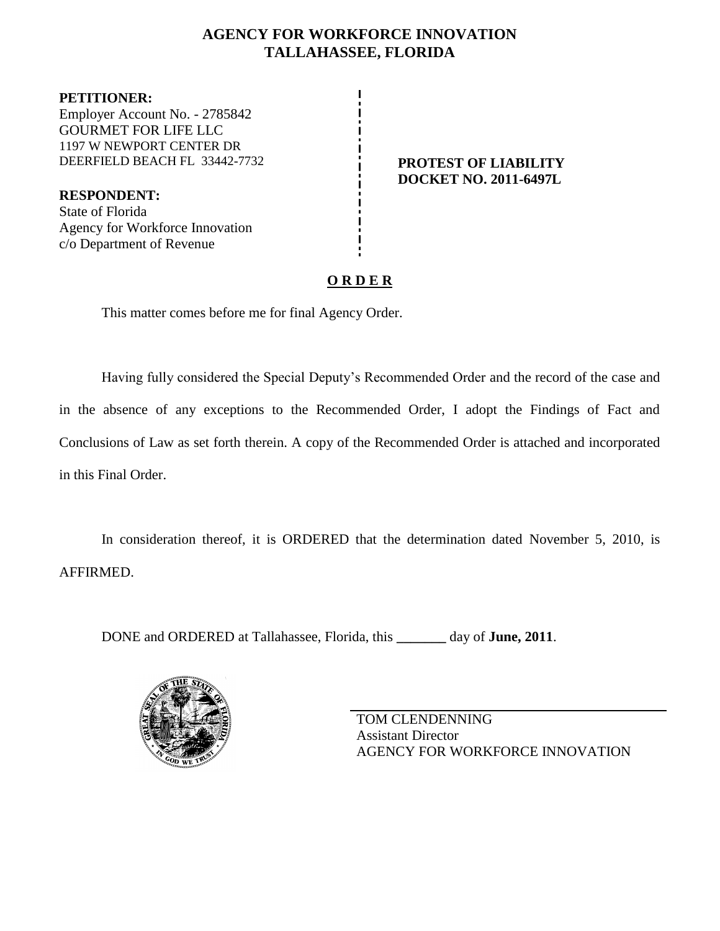## **AGENCY FOR WORKFORCE INNOVATION TALLAHASSEE, FLORIDA**

**PETITIONER:** Employer Account No. - 2785842 GOURMET FOR LIFE LLC 1197 W NEWPORT CENTER DR DEERFIELD BEACH FL 33442-7732 **PROTEST OF LIABILITY**

**RESPONDENT:** State of Florida Agency for Workforce Innovation c/o Department of Revenue

# **DOCKET NO. 2011-6497L**

## **O R D E R**

This matter comes before me for final Agency Order.

Having fully considered the Special Deputy's Recommended Order and the record of the case and in the absence of any exceptions to the Recommended Order, I adopt the Findings of Fact and Conclusions of Law as set forth therein. A copy of the Recommended Order is attached and incorporated in this Final Order.

In consideration thereof, it is ORDERED that the determination dated November 5, 2010, is AFFIRMED.

DONE and ORDERED at Tallahassee, Florida, this **\_\_\_\_\_\_\_** day of **June, 2011**.



TOM CLENDENNING Assistant Director AGENCY FOR WORKFORCE INNOVATION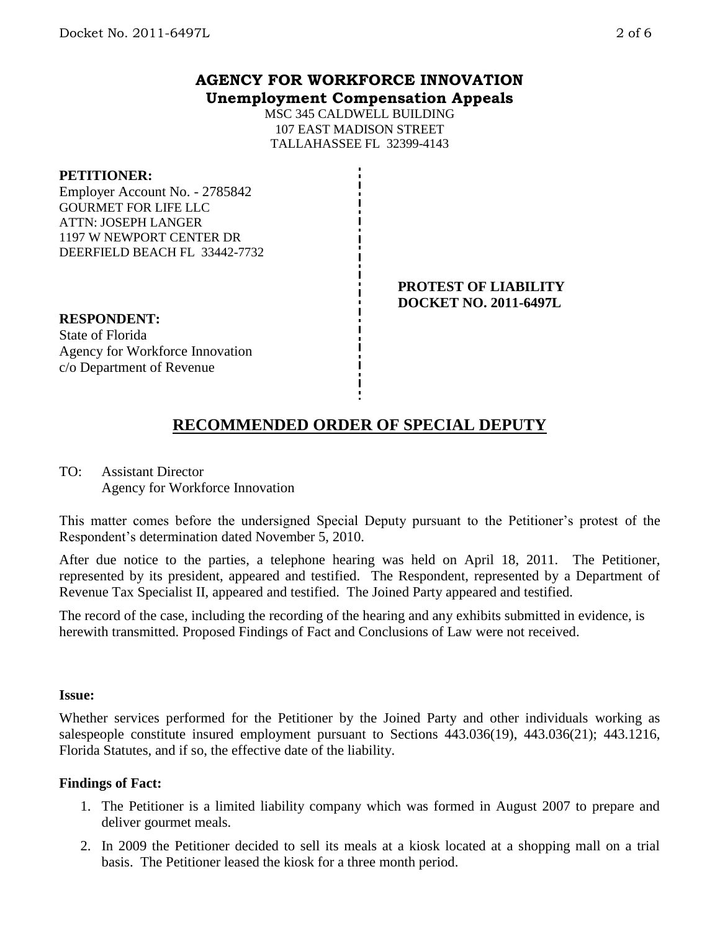### **AGENCY FOR WORKFORCE INNOVATION Unemployment Compensation Appeals**

MSC 345 CALDWELL BUILDING 107 EAST MADISON STREET TALLAHASSEE FL 32399-4143

#### **PETITIONER:**

Employer Account No. - 2785842 GOURMET FOR LIFE LLC ATTN: JOSEPH LANGER 1197 W NEWPORT CENTER DR DEERFIELD BEACH FL 33442-7732

#### **PROTEST OF LIABILITY DOCKET NO. 2011-6497L**

**RESPONDENT:** State of Florida Agency for Workforce Innovation c/o Department of Revenue

## **RECOMMENDED ORDER OF SPECIAL DEPUTY**

TO: Assistant Director Agency for Workforce Innovation

This matter comes before the undersigned Special Deputy pursuant to the Petitioner's protest of the Respondent's determination dated November 5, 2010.

After due notice to the parties, a telephone hearing was held on April 18, 2011. The Petitioner, represented by its president, appeared and testified. The Respondent, represented by a Department of Revenue Tax Specialist II, appeared and testified. The Joined Party appeared and testified.

The record of the case, including the recording of the hearing and any exhibits submitted in evidence, is herewith transmitted. Proposed Findings of Fact and Conclusions of Law were not received.

#### **Issue:**

Whether services performed for the Petitioner by the Joined Party and other individuals working as salespeople constitute insured employment pursuant to Sections 443.036(19), 443.036(21); 443.1216, Florida Statutes, and if so, the effective date of the liability.

#### **Findings of Fact:**

- 1. The Petitioner is a limited liability company which was formed in August 2007 to prepare and deliver gourmet meals.
- 2. In 2009 the Petitioner decided to sell its meals at a kiosk located at a shopping mall on a trial basis. The Petitioner leased the kiosk for a three month period.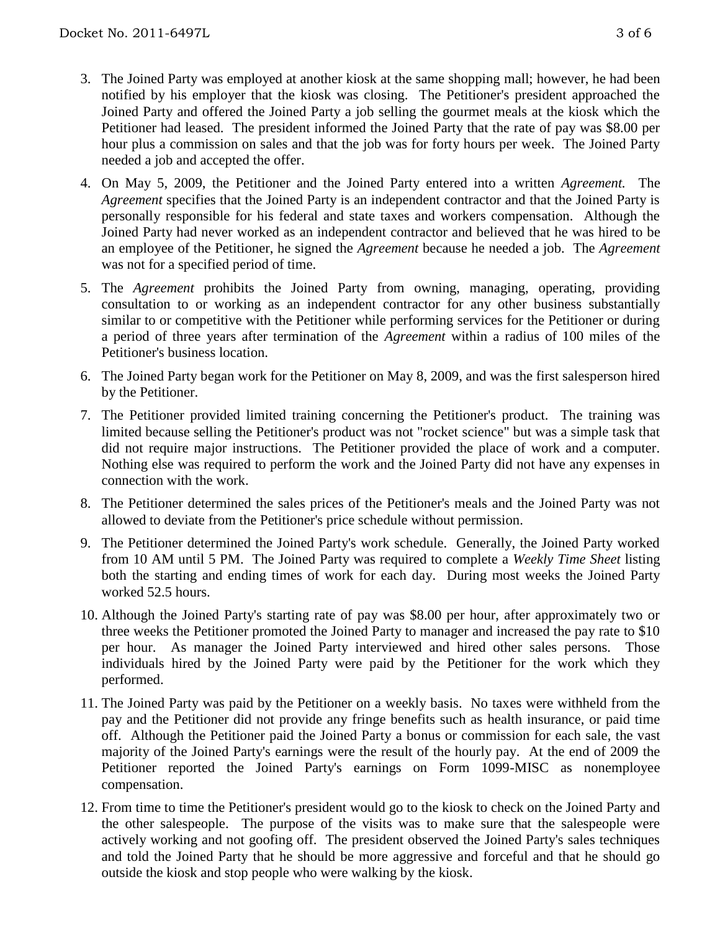- 3. The Joined Party was employed at another kiosk at the same shopping mall; however, he had been notified by his employer that the kiosk was closing. The Petitioner's president approached the Joined Party and offered the Joined Party a job selling the gourmet meals at the kiosk which the Petitioner had leased. The president informed the Joined Party that the rate of pay was \$8.00 per hour plus a commission on sales and that the job was for forty hours per week. The Joined Party needed a job and accepted the offer.
- 4. On May 5, 2009, the Petitioner and the Joined Party entered into a written *Agreement.* The *Agreement* specifies that the Joined Party is an independent contractor and that the Joined Party is personally responsible for his federal and state taxes and workers compensation. Although the Joined Party had never worked as an independent contractor and believed that he was hired to be an employee of the Petitioner, he signed the *Agreement* because he needed a job. The *Agreement*  was not for a specified period of time.
- 5. The *Agreement* prohibits the Joined Party from owning, managing, operating, providing consultation to or working as an independent contractor for any other business substantially similar to or competitive with the Petitioner while performing services for the Petitioner or during a period of three years after termination of the *Agreement* within a radius of 100 miles of the Petitioner's business location.
- 6. The Joined Party began work for the Petitioner on May 8, 2009, and was the first salesperson hired by the Petitioner.
- 7. The Petitioner provided limited training concerning the Petitioner's product. The training was limited because selling the Petitioner's product was not "rocket science" but was a simple task that did not require major instructions. The Petitioner provided the place of work and a computer. Nothing else was required to perform the work and the Joined Party did not have any expenses in connection with the work.
- 8. The Petitioner determined the sales prices of the Petitioner's meals and the Joined Party was not allowed to deviate from the Petitioner's price schedule without permission.
- 9. The Petitioner determined the Joined Party's work schedule. Generally, the Joined Party worked from 10 AM until 5 PM. The Joined Party was required to complete a *Weekly Time Sheet* listing both the starting and ending times of work for each day. During most weeks the Joined Party worked 52.5 hours.
- 10. Although the Joined Party's starting rate of pay was \$8.00 per hour, after approximately two or three weeks the Petitioner promoted the Joined Party to manager and increased the pay rate to \$10 per hour. As manager the Joined Party interviewed and hired other sales persons. Those individuals hired by the Joined Party were paid by the Petitioner for the work which they performed.
- 11. The Joined Party was paid by the Petitioner on a weekly basis. No taxes were withheld from the pay and the Petitioner did not provide any fringe benefits such as health insurance, or paid time off. Although the Petitioner paid the Joined Party a bonus or commission for each sale, the vast majority of the Joined Party's earnings were the result of the hourly pay. At the end of 2009 the Petitioner reported the Joined Party's earnings on Form 1099-MISC as nonemployee compensation.
- 12. From time to time the Petitioner's president would go to the kiosk to check on the Joined Party and the other salespeople. The purpose of the visits was to make sure that the salespeople were actively working and not goofing off. The president observed the Joined Party's sales techniques and told the Joined Party that he should be more aggressive and forceful and that he should go outside the kiosk and stop people who were walking by the kiosk.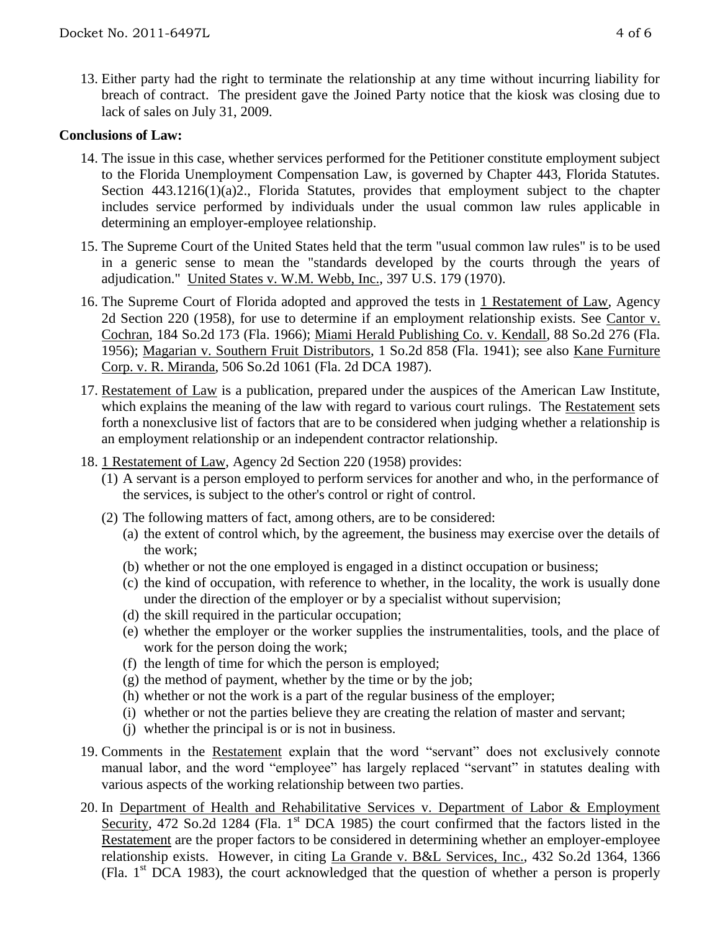13. Either party had the right to terminate the relationship at any time without incurring liability for breach of contract. The president gave the Joined Party notice that the kiosk was closing due to lack of sales on July 31, 2009.

#### **Conclusions of Law:**

- 14. The issue in this case, whether services performed for the Petitioner constitute employment subject to the Florida Unemployment Compensation Law, is governed by Chapter 443, Florida Statutes. Section 443.1216(1)(a)2., Florida Statutes, provides that employment subject to the chapter includes service performed by individuals under the usual common law rules applicable in determining an employer-employee relationship.
- 15. The Supreme Court of the United States held that the term "usual common law rules" is to be used in a generic sense to mean the "standards developed by the courts through the years of adjudication." United States v. W.M. Webb, Inc., 397 U.S. 179 (1970).
- 16. The Supreme Court of Florida adopted and approved the tests in 1 Restatement of Law, Agency 2d Section 220 (1958), for use to determine if an employment relationship exists. See Cantor v. Cochran, 184 So.2d 173 (Fla. 1966); Miami Herald Publishing Co. v. Kendall, 88 So.2d 276 (Fla. 1956); Magarian v. Southern Fruit Distributors, 1 So.2d 858 (Fla. 1941); see also Kane Furniture Corp. v. R. Miranda, 506 So.2d 1061 (Fla. 2d DCA 1987).
- 17. Restatement of Law is a publication, prepared under the auspices of the American Law Institute, which explains the meaning of the law with regard to various court rulings. The Restatement sets forth a nonexclusive list of factors that are to be considered when judging whether a relationship is an employment relationship or an independent contractor relationship.
- 18. 1 Restatement of Law, Agency 2d Section 220 (1958) provides:
	- (1) A servant is a person employed to perform services for another and who, in the performance of the services, is subject to the other's control or right of control.
	- (2) The following matters of fact, among others, are to be considered:
		- (a) the extent of control which, by the agreement, the business may exercise over the details of the work;
		- (b) whether or not the one employed is engaged in a distinct occupation or business;
		- (c) the kind of occupation, with reference to whether, in the locality, the work is usually done under the direction of the employer or by a specialist without supervision;
		- (d) the skill required in the particular occupation;
		- (e) whether the employer or the worker supplies the instrumentalities, tools, and the place of work for the person doing the work;
		- (f) the length of time for which the person is employed;
		- (g) the method of payment, whether by the time or by the job;
		- (h) whether or not the work is a part of the regular business of the employer;
		- (i) whether or not the parties believe they are creating the relation of master and servant;
		- (j) whether the principal is or is not in business.
- 19. Comments in the Restatement explain that the word "servant" does not exclusively connote manual labor, and the word "employee" has largely replaced "servant" in statutes dealing with various aspects of the working relationship between two parties.
- 20. In Department of Health and Rehabilitative Services v. Department of Labor & Employment Security, 472 So.2d 1284 (Fla. 1<sup>st</sup> DCA 1985) the court confirmed that the factors listed in the Restatement are the proper factors to be considered in determining whether an employer-employee relationship exists. However, in citing La Grande v. B&L Services, Inc., 432 So.2d 1364, 1366 (Fla.  $1<sup>st</sup>$  DCA 1983), the court acknowledged that the question of whether a person is properly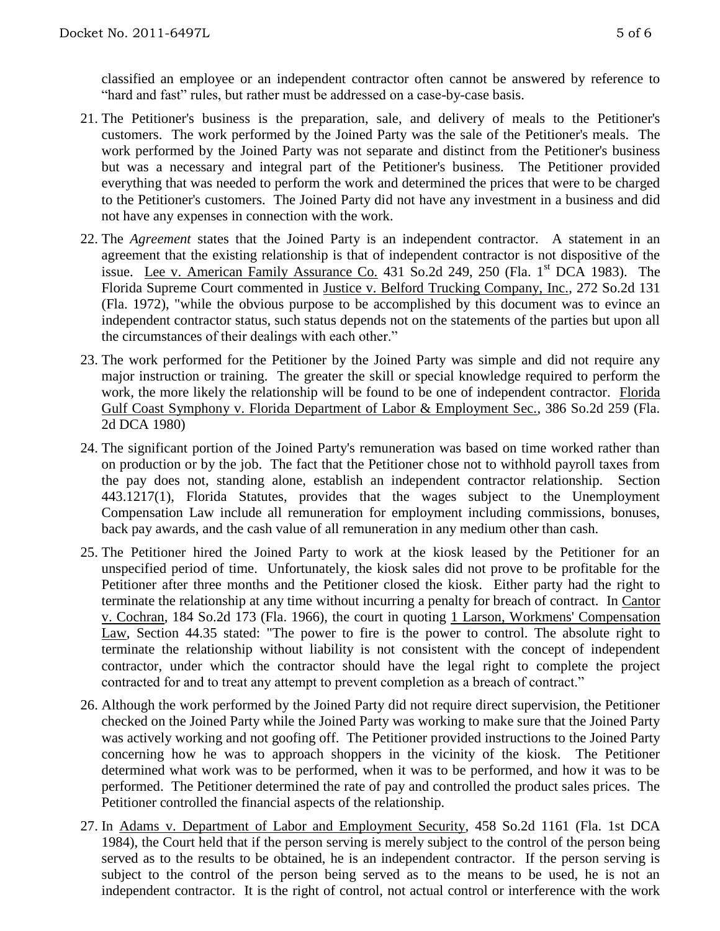- 21. The Petitioner's business is the preparation, sale, and delivery of meals to the Petitioner's customers. The work performed by the Joined Party was the sale of the Petitioner's meals. The work performed by the Joined Party was not separate and distinct from the Petitioner's business but was a necessary and integral part of the Petitioner's business. The Petitioner provided everything that was needed to perform the work and determined the prices that were to be charged to the Petitioner's customers. The Joined Party did not have any investment in a business and did not have any expenses in connection with the work.
- 22. The *Agreement* states that the Joined Party is an independent contractor. A statement in an agreement that the existing relationship is that of independent contractor is not dispositive of the issue. Lee v. American Family Assurance Co. 431 So.2d 249, 250 (Fla.  $1<sup>st</sup>$  DCA 1983). The Florida Supreme Court commented in Justice v. Belford Trucking Company, Inc., 272 So.2d 131 (Fla. 1972), "while the obvious purpose to be accomplished by this document was to evince an independent contractor status, such status depends not on the statements of the parties but upon all the circumstances of their dealings with each other."
- 23. The work performed for the Petitioner by the Joined Party was simple and did not require any major instruction or training. The greater the skill or special knowledge required to perform the work, the more likely the relationship will be found to be one of independent contractor. Florida Gulf Coast Symphony v. Florida Department of Labor & Employment Sec., 386 So.2d 259 (Fla. 2d DCA 1980)
- 24. The significant portion of the Joined Party's remuneration was based on time worked rather than on production or by the job. The fact that the Petitioner chose not to withhold payroll taxes from the pay does not, standing alone, establish an independent contractor relationship. Section 443.1217(1), Florida Statutes, provides that the wages subject to the Unemployment Compensation Law include all remuneration for employment including commissions, bonuses, back pay awards, and the cash value of all remuneration in any medium other than cash.
- 25. The Petitioner hired the Joined Party to work at the kiosk leased by the Petitioner for an unspecified period of time. Unfortunately, the kiosk sales did not prove to be profitable for the Petitioner after three months and the Petitioner closed the kiosk. Either party had the right to terminate the relationship at any time without incurring a penalty for breach of contract. In Cantor v. Cochran, 184 So.2d 173 (Fla. 1966), the court in quoting 1 Larson, Workmens' Compensation Law, Section 44.35 stated: "The power to fire is the power to control. The absolute right to terminate the relationship without liability is not consistent with the concept of independent contractor, under which the contractor should have the legal right to complete the project contracted for and to treat any attempt to prevent completion as a breach of contract."
- 26. Although the work performed by the Joined Party did not require direct supervision, the Petitioner checked on the Joined Party while the Joined Party was working to make sure that the Joined Party was actively working and not goofing off. The Petitioner provided instructions to the Joined Party concerning how he was to approach shoppers in the vicinity of the kiosk. The Petitioner determined what work was to be performed, when it was to be performed, and how it was to be performed. The Petitioner determined the rate of pay and controlled the product sales prices. The Petitioner controlled the financial aspects of the relationship.
- 27. In Adams v. Department of Labor and Employment Security, 458 So.2d 1161 (Fla. 1st DCA 1984), the Court held that if the person serving is merely subject to the control of the person being served as to the results to be obtained, he is an independent contractor. If the person serving is subject to the control of the person being served as to the means to be used, he is not an independent contractor. It is the right of control, not actual control or interference with the work